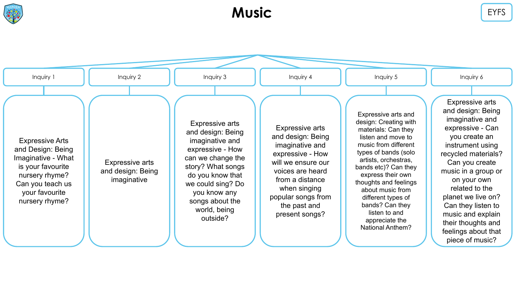

### **Music** EYFS

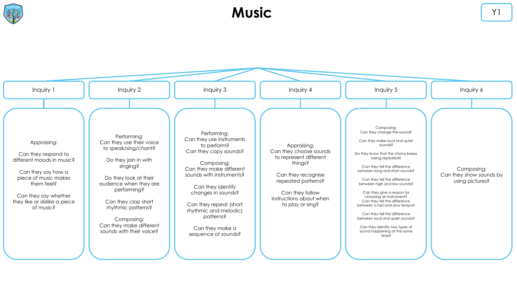

#### **Music** Y<sub>1</sub>

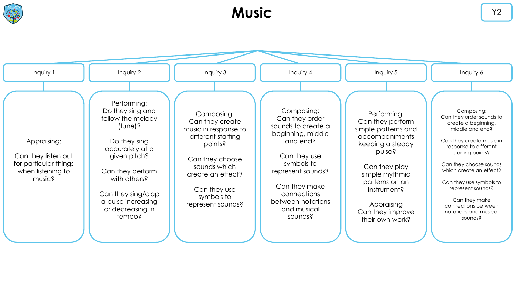

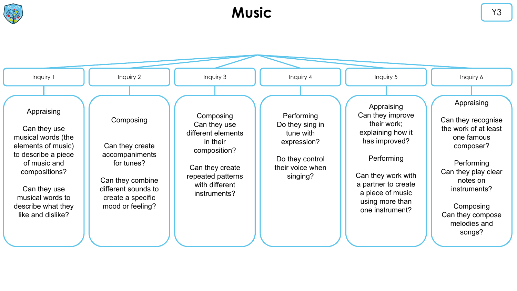

## **Music** Y3

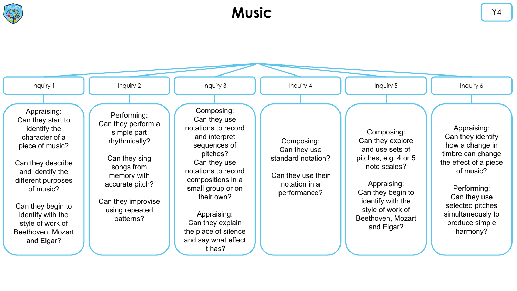

# **Music**

| Inquiry 1                                                                                                                                                                                                                                                          | Inquiry 2                                                                                                                                                                               | Inquiry 3                                                                                                                                                                                                                                                                                  | Inquiry 4                                                                                               | Inquiry 5                                                                                                                                                                                                 | Inquiry 6                                                                                                                                                                                                            |
|--------------------------------------------------------------------------------------------------------------------------------------------------------------------------------------------------------------------------------------------------------------------|-----------------------------------------------------------------------------------------------------------------------------------------------------------------------------------------|--------------------------------------------------------------------------------------------------------------------------------------------------------------------------------------------------------------------------------------------------------------------------------------------|---------------------------------------------------------------------------------------------------------|-----------------------------------------------------------------------------------------------------------------------------------------------------------------------------------------------------------|----------------------------------------------------------------------------------------------------------------------------------------------------------------------------------------------------------------------|
| Appraising:<br>Can they start to<br>identify the<br>character of a<br>piece of music?<br>Can they describe<br>and identify the<br>different purposes<br>of music?<br>Can they begin to<br>identify with the<br>style of work of<br>Beethoven, Mozart<br>and Elgar? | Performing:<br>Can they perform a<br>simple part<br>rhythmically?<br>Can they sing<br>songs from<br>memory with<br>accurate pitch?<br>Can they improvise<br>using repeated<br>patterns? | Composing:<br>Can they use<br>notations to record<br>and interpret<br>sequences of<br>pitches?<br>Can they use<br>notations to record<br>compositions in a<br>small group or on<br>their own?<br>Appraising:<br>Can they explain<br>the place of silence<br>and say what effect<br>it has? | Composing:<br>Can they use<br>standard notation?<br>Can they use their<br>notation in a<br>performance? | Composing:<br>Can they explore<br>and use sets of<br>pitches, e.g. 4 or 5<br>note scales?<br>Appraising:<br>Can they begin to<br>identify with the<br>style of work of<br>Beethoven, Mozart<br>and Elgar? | Appraising:<br>Can they identify<br>how a change in<br>timbre can change<br>the effect of a piece<br>of music?<br>Performing:<br>Can they use<br>selected pitches<br>simultaneously to<br>produce simple<br>harmony? |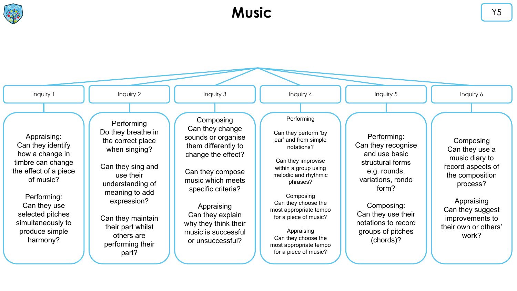

# **Music**

| Inquiry 1                                                                                                                                                                                                            | Inquiry 2                                                                                                                                                                                                                                          | Inquiry 3                                                                                                                                                                                                                                                           | Inquiry 4                                                                                                                                                                                                                                                                                                                                 | Inquiry 5                                                                                                                                                                                                         | Inquiry 6                                                                                                                                                                               |
|----------------------------------------------------------------------------------------------------------------------------------------------------------------------------------------------------------------------|----------------------------------------------------------------------------------------------------------------------------------------------------------------------------------------------------------------------------------------------------|---------------------------------------------------------------------------------------------------------------------------------------------------------------------------------------------------------------------------------------------------------------------|-------------------------------------------------------------------------------------------------------------------------------------------------------------------------------------------------------------------------------------------------------------------------------------------------------------------------------------------|-------------------------------------------------------------------------------------------------------------------------------------------------------------------------------------------------------------------|-----------------------------------------------------------------------------------------------------------------------------------------------------------------------------------------|
| Appraising:<br>Can they identify<br>how a change in<br>timbre can change<br>the effect of a piece<br>of music?<br>Performing:<br>Can they use<br>selected pitches<br>simultaneously to<br>produce simple<br>harmony? | Performing<br>Do they breathe in<br>the correct place<br>when singing?<br>Can they sing and<br>use their<br>understanding of<br>meaning to add<br>expression?<br>Can they maintain<br>their part whilst<br>others are<br>performing their<br>part? | Composing<br>Can they change<br>sounds or organise<br>them differently to<br>change the effect?<br>Can they compose<br>music which meets<br>specific criteria?<br>Appraising<br>Can they explain<br>why they think their<br>music is successful<br>or unsuccessful? | Performing<br>Can they perform 'by<br>ear' and from simple<br>notations?<br>Can they improvise<br>within a group using<br>melodic and rhythmic<br>phrases?<br>Composing<br>Can they choose the<br>most appropriate tempo<br>for a piece of music?<br>Appraising<br>Can they choose the<br>most appropriate tempo<br>for a piece of music? | Performing:<br>Can they recognise<br>and use basic<br>structural forms<br>e.g. rounds,<br>variations, rondo<br>form?<br>Composing:<br>Can they use their<br>notations to record<br>groups of pitches<br>(chords)? | Composing<br>Can they use a<br>music diary to<br>record aspects of<br>the composition<br>process?<br>Appraising<br>Can they suggest<br>improvements to<br>their own or others'<br>work? |